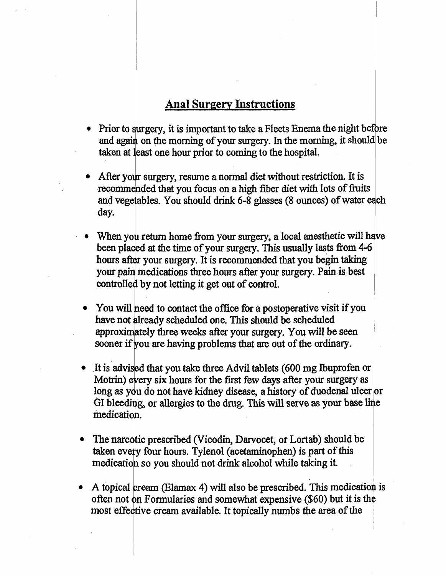## **Anal Surgery Instructions**

- Prior to surgery, it is important to take a Fleets Enema the night before and again on the morning of your surgery. In the morning, it should be taken at least one hour prior to coming to the hospital.
- After your surgery, resume a normal diet without restriction. It is recommended that you focus on a high fiber diet with lots of fruits and vegetables. You should drink 6-8 glasses (8 ounces) of water c day.
- When you return home from your surgery, a local anesthetic will have been placed at the time of your surgery. This usually lasts from 4-6 hours after your surgery. It is recommended that you begin taking **your pain medications three hours after your surgery. Pain is best** controlled by not letting it get out of control.
- You will need to contact the office for a postoperative visit if you have not already scheduled one. This should be scheduled **approxinteIy three weeks after your surgery. You will be seen**  sooner if you are having problems that are out of the ordinary.
- It is advised that you take three Advil tablets (600 mg Ibuprofen or Motrin) every six hours for the first few days after your surgery as long as you do not have kidney disease, a history of duodenal ulcer or GI bleeding, or allergies to the drug. This will serve as your base line medication.
- The narcotic prescribed (Vicodin, Darvocet, or Lortab) should be taken every four hours. Tylenol (acetaminophen) is part of this medication so you should not drink alcohol while taking it.
- A topical cream (Elamax 4) will also be prescribed. This medication is often not on Formularies and somewhat expensive (\$60) but it is the most effective cream available. It topically numbs the area of the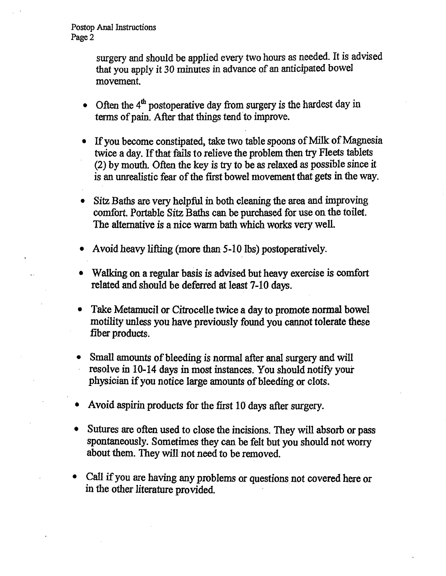Postop Anal Instructions Page 2

> surgery and should be applied every two hours as needed. It is advised *that* you apply it 30 minutes in advance of an anticipated bowel movement.

- Often the  $4<sup>th</sup>$  postoperative day from surgery is the hardest day in terms of pain. After that things tend'to improve.
- If you become constipated, take two table spoons of Milk of Magnesia twice a day. If that fails to relieve the problem then try Fleets tablets (2) by mouth. Often the key is try to be as relaxed as possible since it is an unrealistic fear of the first bowel movement that gets in the way.
- Sitz Baths are very helpful in both cleaning the area and improving comfort. Portable Sitz Baths can be purchased for use *on the toilet.*  **The alternative is a nice warm bath which works very well.**
- **Avoid heavy lifting (more than** *5-10* **ibs) postoperatively.**
- **Walking on a regular basis is advised but heavy exercise is comfort related and should be deferred at least 7-10 days.**
- **Take Metamucil or Citrocelle twice a day to promote normal bowel motility unless you have previously found you cannot tolerate these fiber products.**
- **Small amounts of bleeding is normal after anal surgery and will • resolve in 10-14 days in most instances. You should notify your physician if you notice large amounts of bleeding or clots.**
- **Avoid aspirin products for the first 10 days after surgery.**
- **Sutures are often used to close the incisions. They will absorb or pass spontaneously. Sometimes they can be felt but you should not worry about them. They will not need to be removed.**
- **Call if you are having any problems or questions not covered here or in the other literature provided.**